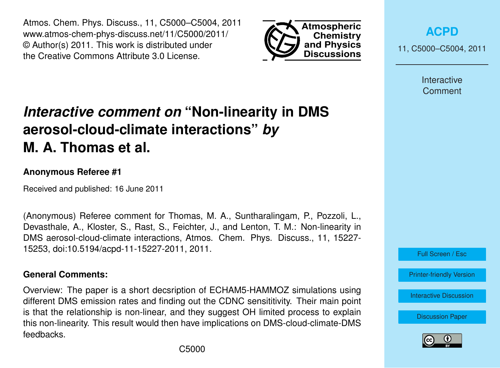Atmos. Chem. Phys. Discuss., 11, C5000–C5004, 2011 www.atmos-chem-phys-discuss.net/11/C5000/2011/ © Author(s) 2011. This work is distributed under the Creative Commons Attribute 3.0 License.



**[ACPD](http://www.atmos-chem-phys-discuss.net)**

11, C5000–C5004, 2011

Interactive **Comment** 

# *Interactive comment on* **"Non-linearity in DMS aerosol-cloud-climate interactions"** *by* **M. A. Thomas et al.**

### **Anonymous Referee #1**

Received and published: 16 June 2011

(Anonymous) Referee comment for Thomas, M. A., Suntharalingam, P., Pozzoli, L., Devasthale, A., Kloster, S., Rast, S., Feichter, J., and Lenton, T. M.: Non-linearity in DMS aerosol-cloud-climate interactions, Atmos. Chem. Phys. Discuss., 11, 15227- 15253, doi:10.5194/acpd-11-15227-2011, 2011.

#### **General Comments:**

Overview: The paper is a short decsription of ECHAM5-HAMMOZ simulations using different DMS emission rates and finding out the CDNC sensititivity. Their main point is that the relationship is non-linear, and they suggest OH limited process to explain this non-linearity. This result would then have implications on DMS-cloud-climate-DMS feedbacks.



Full Screen / Esc

[Printer-friendly Version](http://www.atmos-chem-phys-discuss.net/11/C5000/2011/acpd-11-C5000-2011-print.pdf)

[Interactive Discussion](http://www.atmos-chem-phys-discuss.net/11/15227/2011/acpd-11-15227-2011-discussion.html)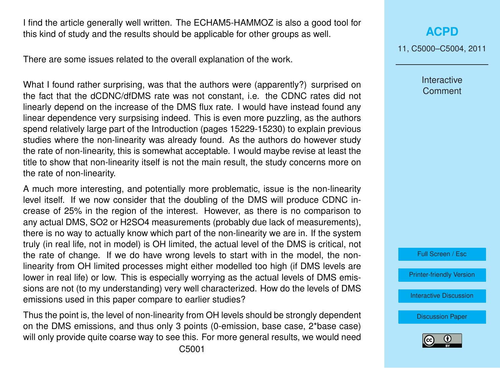I find the article generally well written. The ECHAM5-HAMMOZ is also a good tool for this kind of study and the results should be applicable for other groups as well.

There are some issues related to the overall explanation of the work.

What I found rather surprising, was that the authors were (apparently?) surprised on the fact that the dCDNC/dfDMS rate was not constant, i.e. the CDNC rates did not linearly depend on the increase of the DMS flux rate. I would have instead found any linear dependence very surpsising indeed. This is even more puzzling, as the authors spend relatively large part of the Introduction (pages 15229-15230) to explain previous studies where the non-linearity was already found. As the authors do however study the rate of non-linearity, this is somewhat acceptable. I would maybe revise at least the title to show that non-linearity itself is not the main result, the study concerns more on the rate of non-linearity.

A much more interesting, and potentially more problematic, issue is the non-linearity level itself. If we now consider that the doubling of the DMS will produce CDNC increase of 25% in the region of the interest. However, as there is no comparison to any actual DMS, SO2 or H2SO4 measurements (probably due lack of measurements), there is no way to actually know which part of the non-linearity we are in. If the system truly (in real life, not in model) is OH limited, the actual level of the DMS is critical, not the rate of change. If we do have wrong levels to start with in the model, the nonlinearity from OH limited processes might either modelled too high (if DMS levels are lower in real life) or low. This is especially worrying as the actual levels of DMS emissions are not (to my understanding) very well characterized. How do the levels of DMS emissions used in this paper compare to earlier studies?

Thus the point is, the level of non-linearity from OH levels should be strongly dependent on the DMS emissions, and thus only 3 points (0-emission, base case, 2\*base case) will only provide quite coarse way to see this. For more general results, we would need

**[ACPD](http://www.atmos-chem-phys-discuss.net)**

11, C5000–C5004, 2011

Interactive **Comment** 

Full Screen / Esc

[Printer-friendly Version](http://www.atmos-chem-phys-discuss.net/11/C5000/2011/acpd-11-C5000-2011-print.pdf)

[Interactive Discussion](http://www.atmos-chem-phys-discuss.net/11/15227/2011/acpd-11-15227-2011-discussion.html)

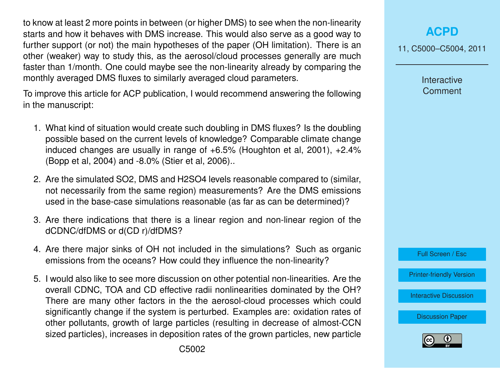to know at least 2 more points in between (or higher DMS) to see when the non-linearity starts and how it behaves with DMS increase. This would also serve as a good way to further support (or not) the main hypotheses of the paper (OH limitation). There is an other (weaker) way to study this, as the aerosol/cloud processes generally are much faster than 1/month. One could maybe see the non-linearity already by comparing the monthly averaged DMS fluxes to similarly averaged cloud parameters.

To improve this article for ACP publication, I would recommend answering the following in the manuscript:

- 1. What kind of situation would create such doubling in DMS fluxes? Is the doubling possible based on the current levels of knowledge? Comparable climate change induced changes are usually in range of  $+6.5\%$  (Houghton et al, 2001),  $+2.4\%$ (Bopp et al, 2004) and -8.0% (Stier et al, 2006)..
- 2. Are the simulated SO2, DMS and H2SO4 levels reasonable compared to (similar, not necessarily from the same region) measurements? Are the DMS emissions used in the base-case simulations reasonable (as far as can be determined)?
- 3. Are there indications that there is a linear region and non-linear region of the dCDNC/dfDMS or d(CD r)/dfDMS?
- 4. Are there major sinks of OH not included in the simulations? Such as organic emissions from the oceans? How could they influence the non-linearity?
- 5. I would also like to see more discussion on other potential non-linearities. Are the overall CDNC, TOA and CD effective radii nonlinearities dominated by the OH? There are many other factors in the the aerosol-cloud processes which could significantly change if the system is perturbed. Examples are: oxidation rates of other pollutants, growth of large particles (resulting in decrease of almost-CCN sized particles), increases in deposition rates of the grown particles, new particle

11, C5000–C5004, 2011

Interactive **Comment** 



[Printer-friendly Version](http://www.atmos-chem-phys-discuss.net/11/C5000/2011/acpd-11-C5000-2011-print.pdf)

[Interactive Discussion](http://www.atmos-chem-phys-discuss.net/11/15227/2011/acpd-11-15227-2011-discussion.html)

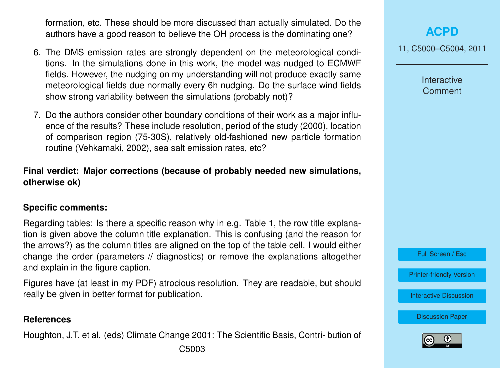formation, etc. These should be more discussed than actually simulated. Do the authors have a good reason to believe the OH process is the dominating one?

- 6. The DMS emission rates are strongly dependent on the meteorological conditions. In the simulations done in this work, the model was nudged to ECMWF fields. However, the nudging on my understanding will not produce exactly same meteorological fields due normally every 6h nudging. Do the surface wind fields show strong variability between the simulations (probably not)?
- 7. Do the authors consider other boundary conditions of their work as a major influence of the results? These include resolution, period of the study (2000), location of comparison region (75-30S), relatively old-fashioned new particle formation routine (Vehkamaki, 2002), sea salt emission rates, etc?

## **Final verdict: Major corrections (because of probably needed new simulations, otherwise ok)**

#### **Specific comments:**

Regarding tables: Is there a specific reason why in e.g. Table 1, the row title explanation is given above the column title explanation. This is confusing (and the reason for the arrows?) as the column titles are aligned on the top of the table cell. I would either change the order (parameters // diagnostics) or remove the explanations altogether and explain in the figure caption.

Figures have (at least in my PDF) atrocious resolution. They are readable, but should really be given in better format for publication.

#### **References**

Houghton, J.T. et al. (eds) Climate Change 2001: The Scientific Basis, Contri- bution of C5003

# **[ACPD](http://www.atmos-chem-phys-discuss.net)**

11, C5000–C5004, 2011

Interactive **Comment** 

Full Screen / Esc

[Printer-friendly Version](http://www.atmos-chem-phys-discuss.net/11/C5000/2011/acpd-11-C5000-2011-print.pdf)

[Interactive Discussion](http://www.atmos-chem-phys-discuss.net/11/15227/2011/acpd-11-15227-2011-discussion.html)